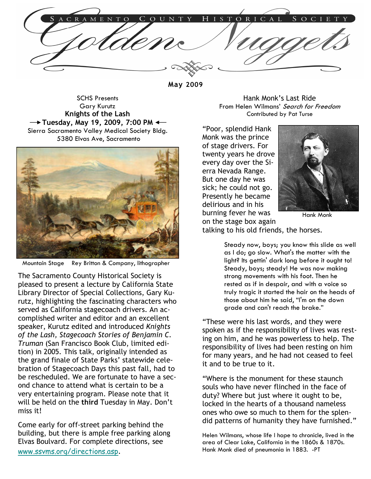May 2009

SCHS Presents Gary Kurutz Knights of the Lash  $\rightarrow$  Tuesday, May 19, 2009, 7:00 PM  $\leftarrow$ Sierra Sacramento Valley Medical Society Bldg. 5380 Elvas Ave, Sacramento



Mountain Stage Rey Britton & Company, lithographer

The Sacramento County Historical Society is pleased to present a lecture by California State Library Director of Special Collections, Gary Kurutz, highlighting the fascinating characters who served as California stagecoach drivers. An accomplished writer and editor and an excellent speaker, Kurutz edited and introduced Knights of the Lash, Stagecoach Stories of Benjamin C. Truman (San Francisco Book Club, limited edition) in 2005. This talk, originally intended as the grand finale of State Parks' statewide celebration of Stagecoach Days this past fall, had to be rescheduled. We are fortunate to have a second chance to attend what is certain to be a very entertaining program. Please note that it will be held on the third Tuesday in May. Don't miss it!

Come early for off-street parking behind the building, but there is ample free parking along Elvas Boulvard. For complete directions, see www.ssvms.org/directions.asp.

Hank Monk's Last Ride From Helen Wilmans' Search for Freedom Contributed by Pat Turse

"Poor, splendid Hank Monk was the prince of stage drivers. For twenty years he drove every day over the Sierra Nevada Range. But one day he was sick; he could not go. Presently he became delirious and in his burning fever he was on the stage box again



Hank Monk

talking to his old friends, the horses.

Steady now, boys; you know this slide as well as I do; go slow. What's the matter with the light? Its gettin' dark long before it ought to! Steady, boys; steady! He was now making strong movements with his foot. Then he rested as if in despair, and with a voice so truly tragic it started the hair on the heads of those about him he said, "I'm on the down grade and can't reach the brake."

"These were his last words, and they were spoken as if the responsibility of lives was resting on him, and he was powerless to help. The responsibility of lives had been resting on him for many years, and he had not ceased to feel it and to be true to it.

"Where is the monument for these staunch souls who have never flinched in the face of duty? Where but just where it ought to be, locked in the hearts of a thousand nameless ones who owe so much to them for the splendid patterns of humanity they have furnished."

Helen Wilmans, whose life I hope to chronicle, lived in the area of Clear Lake, California in the 1860s & 1870s. Hank Monk died of pneumonia in 1883. -PT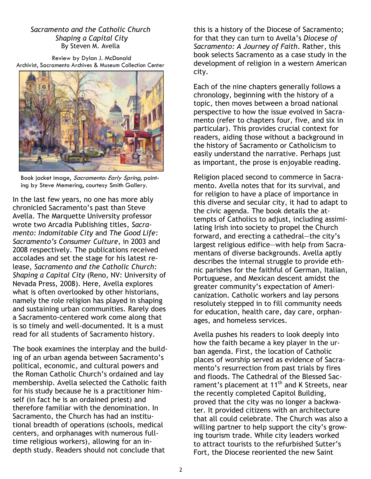## Sacramento and the Catholic Church Shaping a Capital City By Steven M. Avella

Review by Dylan J. McDonald Archivist, Sacramento Archives & Museum Collection Center



Book jacket image, Sacramento: Early Spring, painting by Steve Memering, courtesy Smith Gallery.

In the last few years, no one has more ably chronicled Sacramento's past than Steve Avella. The Marquette University professor wrote two Arcadia Publishing titles, Sacramento: Indomitable City and The Good Life: Sacramento's Consumer Culture, in 2003 and 2008 respectively. The publications received accolades and set the stage for his latest release, Sacramento and the Catholic Church: Shaping a Capital City (Reno, NV: University of Nevada Press, 2008). Here, Avella explores what is often overlooked by other historians, namely the role religion has played in shaping and sustaining urban communities. Rarely does a Sacramento-centered work come along that is so timely and well-documented. It is a must read for all students of Sacramento history.

The book examines the interplay and the building of an urban agenda between Sacramento's political, economic, and cultural powers and the Roman Catholic Church's ordained and lay membership. Avella selected the Catholic faith for his study because he is a practitioner himself (in fact he is an ordained priest) and therefore familiar with the denomination. In Sacramento, the Church has had an institutional breadth of operations (schools, medical centers, and orphanages with numerous fulltime religious workers), allowing for an indepth study. Readers should not conclude that

this is a history of the Diocese of Sacramento; for that they can turn to Avella's Diocese of Sacramento: A Journey of Faith. Rather, this book selects Sacramento as a case study in the development of religion in a western American city.

Each of the nine chapters generally follows a chronology, beginning with the history of a topic, then moves between a broad national perspective to how the issue evolved in Sacramento (refer to chapters four, five, and six in particular). This provides crucial context for readers, aiding those without a background in the history of Sacramento or Catholicism to easily understand the narrative. Perhaps just as important, the prose is enjoyable reading.

Religion placed second to commerce in Sacramento. Avella notes that for its survival, and for religion to have a place of importance in this diverse and secular city, it had to adapt to the civic agenda. The book details the attempts of Catholics to adjust, including assimilating Irish into society to propel the Church forward, and erecting a cathedral―the city's largest religious edifice―with help from Sacramentans of diverse backgrounds. Avella aptly describes the internal struggle to provide ethnic parishes for the faithful of German, Italian, Portuguese, and Mexican descent amidst the greater community's expectation of Americanization. Catholic workers and lay persons resolutely stepped in to fill community needs for education, health care, day care, orphanages, and homeless services.

Avella pushes his readers to look deeply into how the faith became a key player in the urban agenda. First, the location of Catholic places of worship served as evidence of Sacramento's resurrection from past trials by fires and floods. The Cathedral of the Blessed Sacrament's placement at 11<sup>th</sup> and K Streets, near the recently completed Capitol Building, proved that the city was no longer a backwater. It provided citizens with an architecture that all could celebrate. The Church was also a willing partner to help support the city's growing tourism trade. While city leaders worked to attract tourists to the refurbished Sutter's Fort, the Diocese reoriented the new Saint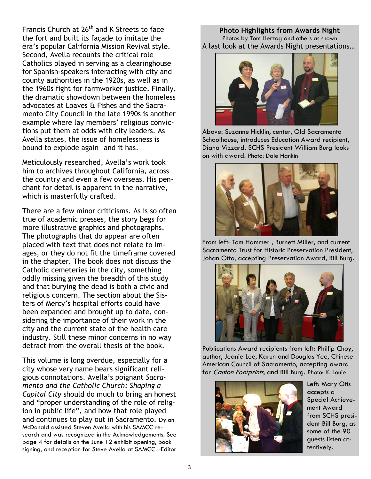Francis Church at  $26<sup>th</sup>$  and K Streets to face the fort and built its façade to imitate the era's popular California Mission Revival style. Second, Avella recounts the critical role Catholics played in serving as a clearinghouse for Spanish-speakers interacting with city and county authorities in the 1920s, as well as in the 1960s fight for farmworker justice. Finally, the dramatic showdown between the homeless advocates at Loaves & Fishes and the Sacramento City Council in the late 1990s is another example where lay members' religious convictions put them at odds with city leaders. As Avella states, the issue of homelessness is bound to explode again―and it has.

Meticulously researched, Avella's work took him to archives throughout California, across the country and even a few overseas. His penchant for detail is apparent in the narrative, which is masterfully crafted.

There are a few minor criticisms. As is so often true of academic presses, the story begs for more illustrative graphics and photographs. The photographs that do appear are often placed with text that does not relate to images, or they do not fit the timeframe covered in the chapter. The book does not discuss the Catholic cemeteries in the city, something oddly missing given the breadth of this study and that burying the dead is both a civic and religious concern. The section about the Sisters of Mercy's hospital efforts could have been expanded and brought up to date, considering the importance of their work in the city and the current state of the health care industry. Still these minor concerns in no way detract from the overall thesis of the book.

This volume is long overdue, especially for a city whose very name bears significant religious connotations. Avella's poignant Sacramento and the Catholic Church: Shaping a Capital City should do much to bring an honest and "proper understanding of the role of religion in public life", and how that role played and continues to play out in Sacramento. Dylan McDonald assisted Steven Avella with his SAMCC research and was recognized in the Acknowledgements. See page 4 for details on the June 12 exhibit opening, book signing, and reception for Steve Avella at SAMCC. -Editor

Photo Highlights from Awards Night Photos by Tom Herzog and others as shown A last look at the Awards Night presentations…



Above: Suzanne Hicklin, center, Old Sacramento Schoolhouse, introduces Education Award recipient, Diana Vizzard. SCHS President William Burg looks on with award. Photo: Dale Hankin



From left: Tom Hammer , Burnett Miller, and current Sacramento Trust for Historic Preservation President, Johan Otto, accepting Preservation Award, Bill Burg.



Publications Award recipients from left: Phillip Choy, author, Jeanie Lee, Karun and Douglas Yee, Chinese American Council of Sacramento, accepting award for Canton Footprints, and Bill Burg. Photo: K. Louie



Left: Mary Otis accepts a Special Achievement Award from SCHS president Bill Burg, as some of the 90 guests listen attentively.